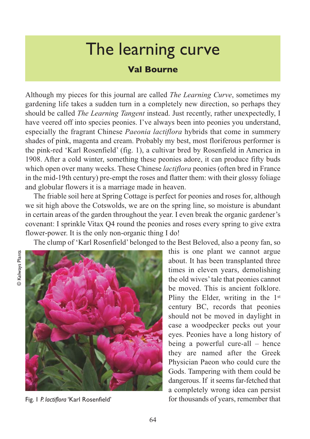## The learning curve

## **Val Bourne**

Although my pieces for this journal are called *The Learning Curve*, sometimes my gardening life takes a sudden turn in a completely new direction, so perhaps they should be called *The Learning Tangent* instead. Just recently, rather unexpectedly, I have veered off into species peonies. I've always been into peonies you understand, especially the fragrant Chinese *Paeonia lactiflora* hybrids that come in summery shades of pink, magenta and cream. Probably my best, most floriferous performer is the pink-red 'Karl Rosenfield' (fig. 1), a cultivar bred by Rosenfield in America in 1908. After a cold winter, something these peonies adore, it can produce fifty buds which open over many weeks. These Chinese *lactiflora* peonies (often bred in France in the mid-19th century) pre-empt the roses and flatter them: with their glossy foliage and globular flowers it is a marriage made in heaven.

The friable soil here at Spring Cottage is perfect for peonies and roses for, although we sit high above the Cotswolds, we are on the spring line, so moisture is abundant in certain areas of the garden throughout the year. I even break the organic gardener's covenant: I sprinkle Vitax Q4 round the peonies and roses every spring to give extra flower-power. It is the only non-organic thing I do!

The clump of 'Karl Rosenfield' belonged to the Best Beloved, also a peony fan, so



Fig. 1 *P. lactiflora* 'Karl Rosenfield'

this is one plant we cannot argue about. It has been transplanted three times in eleven years, demolishing the old wives' tale that peonies cannot be moved. This is ancient folklore. Pliny the Elder, writing in the 1<sup>st</sup> century BC, records that peonies should not be moved in daylight in case a woodpecker pecks out your eyes. Peonies have a long history of being a powerful cure-all – hence they are named after the Greek Physician Paeon who could cure the Gods. Tampering with them could be dangerous. If it seems far-fetched that a completely wrong idea can persist for thousands of years, remember that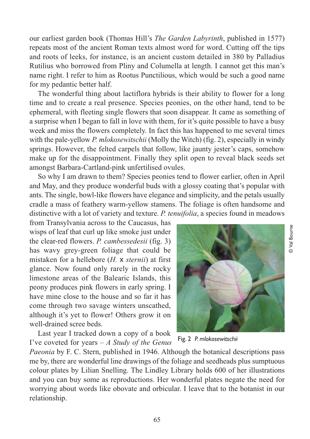our earliest garden book (Thomas Hill's *The Garden Labyrinth*, published in 1577) repeats most of the ancient Roman texts almost word for word. Cutting off the tips and roots of leeks, for instance, is an ancient custom detailed in 380 by Palladius Rutilius who borrowed from Pliny and Columella at length. I cannot get this man's name right. I refer to him as Rootus Punctilious, which would be such a good name for my pedantic better half.

The wonderful thing about lactiflora hybrids is their ability to flower for a long time and to create a real presence. Species peonies, on the other hand, tend to be ephemeral, with fleeting single flowers that soon disappear. It came as something of a surprise when I began to fall in love with them, for it's quite possible to have a busy week and miss the flowers completely. In fact this has happened to me several times with the pale-yellow *P. mlokosewitschii* (Molly the Witch) (fig. 2), especially in windy springs. However, the felted carpels that follow, like jaunty jester's caps, somehow make up for the disappointment. Finally they split open to reveal black seeds set amongst Barbara-Cartland-pink unfertilised ovules.

So why I am drawn to them? Species peonies tend to flower earlier, often in April and May, and they produce wonderful buds with a glossy coating that's popular with ants. The single, bowl-like flowers have elegance and simplicity, and the petals usually cradle a mass of feathery warm-yellow stamens. The foliage is often handsome and distinctive with a lot of variety and texture. *P. tenuifolia*, a species found in meadows

from Transylvania across to the Caucasus, has wisps of leaf that curl up like smoke just under the clear-red flowers. *P. cambessedesii* (fig. 3) has wavy grey-green foliage that could be mistaken for a hellebore (*H.* x *sternii*) at first glance. Now found only rarely in the rocky limestone areas of the Balearic Islands, this peony produces pink flowers in early spring. I have mine close to the house and so far it has come through two savage winters unscathed, although it's yet to flower! Others grow it on well-drained scree beds.

Last year I tracked down a copy of a book I've coveted for years – *A Study of the Genus*

Fig. 2 *P. mlokosewitschii* 

*Paeonia* by F. C. Stern, published in 1946. Although the botanical descriptions pass me by, there are wonderful line drawings of the foliage and seedheads plus sumptuous colour plates by Lilian Snelling. The Lindley Library holds 600 of her illustrations and you can buy some as reproductions. Her wonderful plates negate the need for worrying about words like obovate and orbicular. I leave that to the botanist in our relationship.